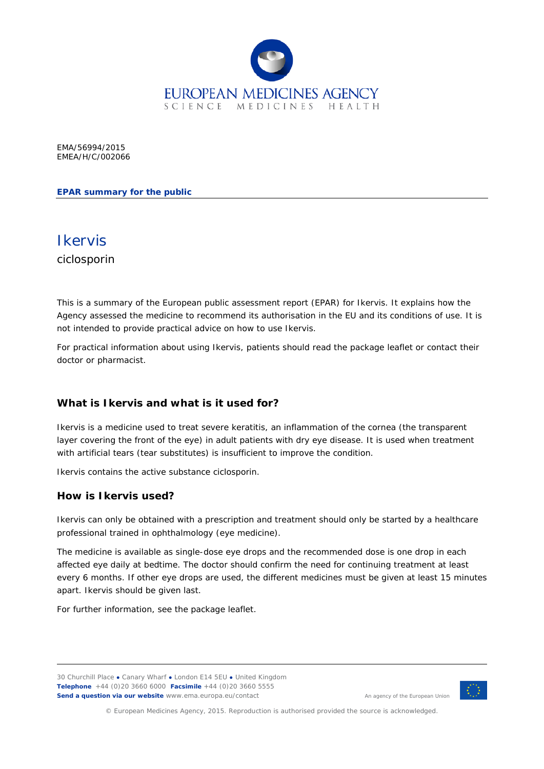

EMA/56994/2015 EMEA/H/C/002066

#### **EPAR summary for the public**



This is a summary of the European public assessment report (EPAR) for Ikervis. It explains how the Agency assessed the medicine to recommend its authorisation in the EU and its conditions of use. It is not intended to provide practical advice on how to use Ikervis.

For practical information about using Ikervis, patients should read the package leaflet or contact their doctor or pharmacist.

#### **What is Ikervis and what is it used for?**

Ikervis is a medicine used to treat severe keratitis, an inflammation of the cornea (the transparent layer covering the front of the eye) in adult patients with dry eye disease. It is used when treatment with artificial tears (tear substitutes) is insufficient to improve the condition.

Ikervis contains the active substance ciclosporin.

#### **How is Ikervis used?**

Ikervis can only be obtained with a prescription and treatment should only be started by a healthcare professional trained in ophthalmology (eye medicine).

The medicine is available as single-dose eye drops and the recommended dose is one drop in each affected eye daily at bedtime. The doctor should confirm the need for continuing treatment at least every 6 months. If other eye drops are used, the different medicines must be given at least 15 minutes apart. Ikervis should be given last.

For further information, see the package leaflet.

30 Churchill Place **●** Canary Wharf **●** London E14 5EU **●** United Kingdom **Telephone** +44 (0)20 3660 6000 **Facsimile** +44 (0)20 3660 5555 **Send a question via our website** www.ema.europa.eu/contact



An agency of the European Union

© European Medicines Agency, 2015. Reproduction is authorised provided the source is acknowledged.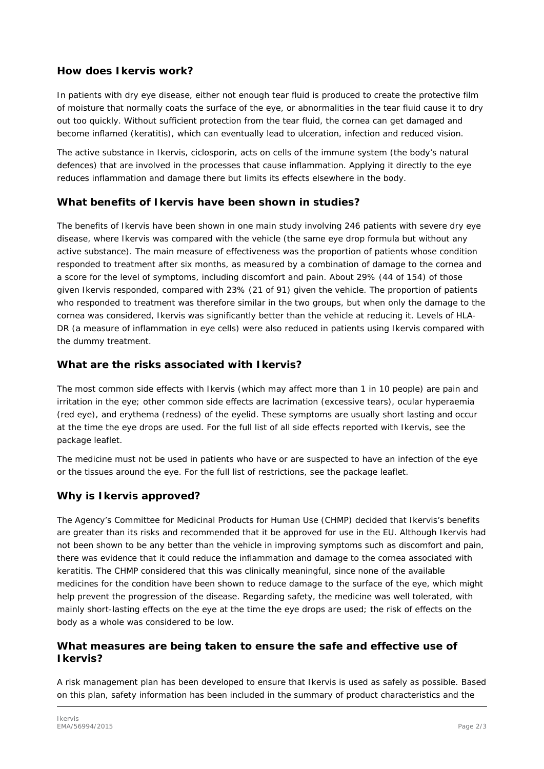## **How does Ikervis work?**

In patients with dry eye disease, either not enough tear fluid is produced to create the protective film of moisture that normally coats the surface of the eye, or abnormalities in the tear fluid cause it to dry out too quickly. Without sufficient protection from the tear fluid, the cornea can get damaged and become inflamed (keratitis), which can eventually lead to ulceration, infection and reduced vision.

The active substance in Ikervis, ciclosporin, acts on cells of the immune system (the body's natural defences) that are involved in the processes that cause inflammation. Applying it directly to the eye reduces inflammation and damage there but limits its effects elsewhere in the body.

## **What benefits of Ikervis have been shown in studies?**

The benefits of Ikervis have been shown in one main study involving 246 patients with severe dry eye disease, where Ikervis was compared with the vehicle (the same eye drop formula but without any active substance). The main measure of effectiveness was the proportion of patients whose condition responded to treatment after six months, as measured by a combination of damage to the cornea and a score for the level of symptoms, including discomfort and pain. About 29% (44 of 154) of those given Ikervis responded, compared with 23% (21 of 91) given the vehicle. The proportion of patients who responded to treatment was therefore similar in the two groups, but when only the damage to the cornea was considered, Ikervis was significantly better than the vehicle at reducing it. Levels of HLA-DR (a measure of inflammation in eye cells) were also reduced in patients using Ikervis compared with the dummy treatment.

## **What are the risks associated with Ikervis?**

The most common side effects with Ikervis (which may affect more than 1 in 10 people) are pain and irritation in the eye; other common side effects are lacrimation (excessive tears), ocular hyperaemia (red eye), and erythema (redness) of the eyelid. These symptoms are usually short lasting and occur at the time the eye drops are used. For the full list of all side effects reported with Ikervis, see the package leaflet.

The medicine must not be used in patients who have or are suspected to have an infection of the eye or the tissues around the eye. For the full list of restrictions, see the package leaflet.

# **Why is Ikervis approved?**

The Agency's Committee for Medicinal Products for Human Use (CHMP) decided that Ikervis's benefits are greater than its risks and recommended that it be approved for use in the EU. Although Ikervis had not been shown to be any better than the vehicle in improving symptoms such as discomfort and pain, there was evidence that it could reduce the inflammation and damage to the cornea associated with keratitis. The CHMP considered that this was clinically meaningful, since none of the available medicines for the condition have been shown to reduce damage to the surface of the eye, which might help prevent the progression of the disease. Regarding safety, the medicine was well tolerated, with mainly short-lasting effects on the eye at the time the eye drops are used; the risk of effects on the body as a whole was considered to be low.

## **What measures are being taken to ensure the safe and effective use of Ikervis?**

A risk management plan has been developed to ensure that Ikervis is used as safely as possible. Based on this plan, safety information has been included in the summary of product characteristics and the